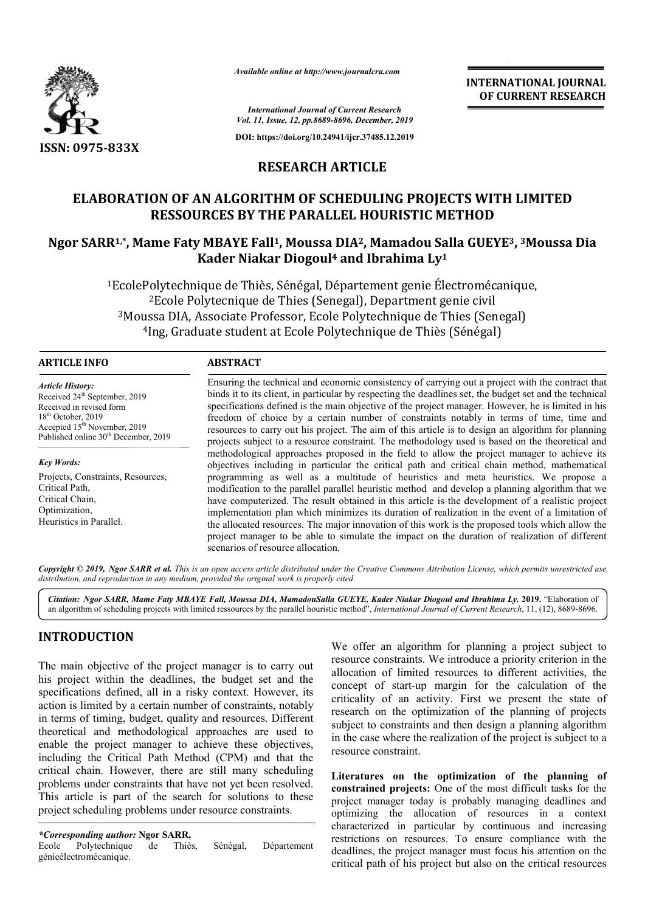

*Available online at http://www.journalcra.com*

**INTERNATIONAL JOURNAL OF CURRENT RESEARCH**

*International Journal of Current Research Vol. 11, Issue, 12, pp.8689-8696, December, 2019*

**DOI: https://doi.org/10.24941/ijcr.37485.12.2019**

# **RESEARCH ARTICLE**

# **ELABORATION OF AN ALGORITHM OF SCHEDULING PROJECTS WITH LIMITED RESSOURCES BY THE PARALLEL HOURISTIC METHOD**

# RESSOURCES BY THE PARALLEL HOURISTIC METHOD<br>Ngor SARR<sup>1,</sup>\*, Mame Faty MBAYE Fall<sup>1</sup>, Moussa DIA<sup>2</sup>, Mamadou Salla GUEYE<sup>3</sup>, <sup>3</sup>Moussa Dia **Kader Niakar Diogoul Diogoul4 and Ibrahima Ly1**

 $^{\rm 1}$ EcolePolytechnique de Thiès, Sénégal, Département genie Électromécanique, 2Ecole Polytecnique de Thies (Senegal), Department genie civil Ecole 3Moussa DIA, Associate Professor, Ecole Polytechnique de Thies (Senegal) <sup>2</sup>Ecole Polytecnique de Thies (Senegal), Department genie civil<br>ussa DIA, Associate Professor, Ecole Polytechnique de Thies (Sen<br><sup>4</sup>Ing, Graduate student at Ecole Polytechnique de Thiès (Sénégal)

### **ARTICLE INFO ABSTRACT**

*Article History:* Received 24<sup>th</sup> September, 2019 Received in revised form 18<sup>th</sup> October, 2019 Accepted 15<sup>th</sup> November, 2019 Published online 30<sup>th</sup> December, 2019

*Key Words:* Projects, Constraints, Resources, Critical Path, Critical Chain, Optimization, Heuristics in Parallel.

Ensuring the technical and economic consistency of carrying out a project with the contract that binds it to its client, in particular by respecting the deadlines set, the budget set and the technical specifications defined is the main objective of the project manager. However, he is limited in his Ensuring the technical and economic consistency of carrying out a project with the contract that binds it to its client, in particular by respecting the deadlines set, the budget set and the technical specifications define resources to carry out his project. The aim of this article is to design an algorithm for planning projects subject to a resource constraint. The methodology used is based on the theoretical and methodological approaches proposed in the field to allow the project manager to achieve its objectives including in particular the critical path and critical chain method, mathematical programming as well as a multitude of heuristics and meta heuristics. We propose a modification to the parallel parallel heuristic method and develop a planning algorithm that we have computerized. The result obtained in this article is the development of a realistic project implementation plan which minimizes its duration of realization in the event of a the allocated resources. The major innovation of this work is the proposed tools which allow the the allocated resources. The major innovation of this work is the proposed tools which allow the project manager to be able to simulate the impact on the duration of realization of different scenarios of resource allocation. resources to carry out his project. The aim of this article is to design an algorithm for planning projects subject to a resource constraint. The methodology used is based on the theoretical and methodological approaches p

Copyright © 2019, Ngor SARR et al. This is an open access article distributed under the Creative Commons Attribution License, which permits unrestricted use, *distribution, and reproduction in any medium, provided the original work is properly cited.*

Citation: Ngor SARR, Mame Faty MBAYE Fall, Moussa DIA, MamadouSalla GUEYE, Kader Niakar Diogoul and Ibrahima Ly. 2019. "Elaboration of an algorithm of scheduling projects with limited ressources by the parallel houristic method", *International Journal of Current Research*, 11, (12), 8689-8696.

# **INTRODUCTION**

The main objective of the project manager is to carry out his project within the deadlines, the budget set and the specifications defined, all in a risky context. However, its action is limited by a certain number of constraints, notably in terms of timing, budget, quality and resources. Different theoretical and methodological approaches are used to enable the project manager to achieve these objectives, including the Critical Path Method (CPM) and that the critical chain. However, there are still many scheduling problems under constraints that have not yet been resolved. This article is part of the search for solutions to these project scheduling problems under resource constraints.<br>
\*Corresponding author: Ngor SARR,<br>
Ecole Polytechnique de Thiès, Sénégal, Département

Polytechnique de Thiès, Sénégal, génieélectromécanique.

We offer an algorithm for planning a project subject to resource constraints. We introduce a priority criterion in the allocation of limited resources to different activities, the concept of start-up margin for the calculation of the criticality of an activity. First we present the state of research on the optimization of the planning of projects subject to constraints and then design a planning algorithm in the case where the realization of the project is subject to a resource constraint. an algorithm for planning a project subject to instraints. We introduce a priority criterion in the of limited resources to different activities, the f start-up margin for the calculation of the projects constraints and th

**Literatures on the optimization of the planning of constrained projects:** One of the most difficult tasks for the project manager today is probably managing deadlines and optimizing the allocation of resources in a context characterized in particular by continuous and increasing restrictions on resources. To ensure compliance with the deadlines, the project manager must focus his attention on the restrictions on resources. To ensure compliance with the deadlines, the project manager must focus his attention on the critical path of his project but also on the critical resources

*<sup>\*</sup>Corresponding author:* **Ngor SARR,**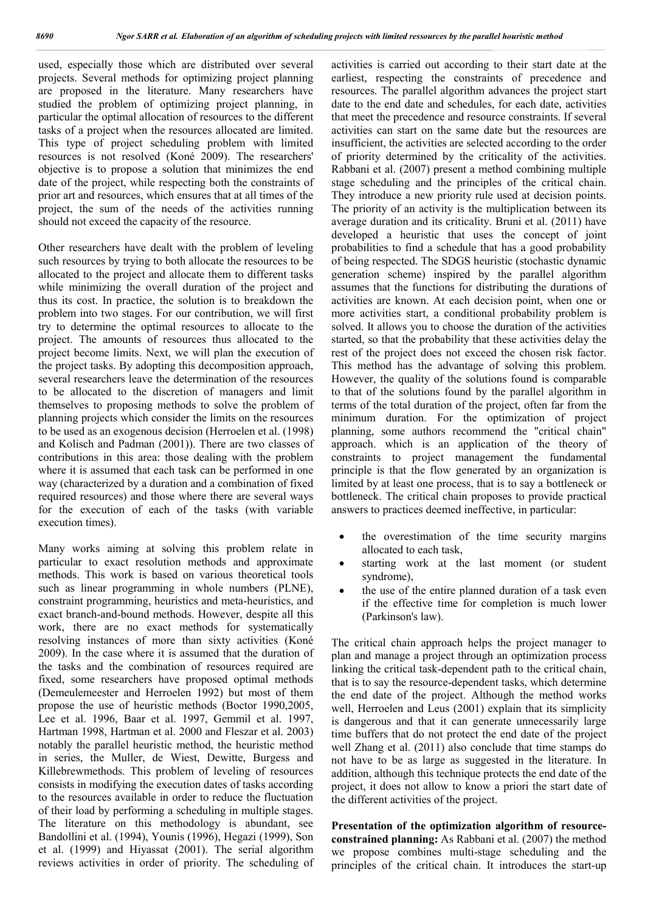used, especially those which are distributed over several projects. Several methods for optimizing project planning are proposed in the literature. Many researchers have studied the problem of optimizing project planning, in particular the optimal allocation of resources to the different tasks of a project when the resources allocated are limited. This type of project scheduling problem with limited resources is not resolved (Koné 2009). The researchers' objective is to propose a solution that minimizes the end date of the project, while respecting both the constraints of prior art and resources, which ensures that at all times of the project, the sum of the needs of the activities running should not exceed the capacity of the resource.

Other researchers have dealt with the problem of leveling such resources by trying to both allocate the resources to be allocated to the project and allocate them to different tasks while minimizing the overall duration of the project and thus its cost. In practice, the solution is to breakdown the problem into two stages. For our contribution, we will first try to determine the optimal resources to allocate to the project. The amounts of resources thus allocated to the project become limits. Next, we will plan the execution of the project tasks. By adopting this decomposition approach, several researchers leave the determination of the resources to be allocated to the discretion of managers and limit themselves to proposing methods to solve the problem of planning projects which consider the limits on the resources to be used as an exogenous decision (Herroelen et al. (1998) and Kolisch and Padman (2001)). There are two classes of contributions in this area: those dealing with the problem where it is assumed that each task can be performed in one way (characterized by a duration and a combination of fixed required resources) and those where there are several ways for the execution of each of the tasks (with variable execution times).

Many works aiming at solving this problem relate in particular to exact resolution methods and approximate methods. This work is based on various theoretical tools such as linear programming in whole numbers (PLNE), constraint programming, heuristics and meta-heuristics, and exact branch-and-bound methods. However, despite all this work, there are no exact methods for systematically resolving instances of more than sixty activities (Koné 2009). In the case where it is assumed that the duration of the tasks and the combination of resources required are fixed, some researchers have proposed optimal methods (Demeulemeester and Herroelen 1992) but most of them propose the use of heuristic methods (Boctor 1990,2005, Lee et al. 1996, Baar et al. 1997, Gemmil et al. 1997, Hartman 1998, Hartman et al. 2000 and Fleszar et al. 2003) notably the parallel heuristic method, the heuristic method in series, the Muller, de Wiest, Dewitte, Burgess and Killebrewmethods. This problem of leveling of resources consists in modifying the execution dates of tasks according to the resources available in order to reduce the fluctuation of their load by performing a scheduling in multiple stages. The literature on this methodology is abundant, see Bandollini et al. (1994), Younis (1996), Hegazi (1999), Son et al. (1999) and Hiyassat (2001). The serial algorithm reviews activities in order of priority. The scheduling of activities is carried out according to their start date at the earliest, respecting the constraints of precedence and resources. The parallel algorithm advances the project start date to the end date and schedules, for each date, activities that meet the precedence and resource constraints. If several activities can start on the same date but the resources are insufficient, the activities are selected according to the order of priority determined by the criticality of the activities. Rabbani et al. (2007) present a method combining multiple stage scheduling and the principles of the critical chain. They introduce a new priority rule used at decision points. The priority of an activity is the multiplication between its average duration and its criticality. Bruni et al. (2011) have developed a heuristic that uses the concept of joint probabilities to find a schedule that has a good probability of being respected. The SDGS heuristic (stochastic dynamic generation scheme) inspired by the parallel algorithm assumes that the functions for distributing the durations of activities are known. At each decision point, when one or more activities start, a conditional probability problem is solved. It allows you to choose the duration of the activities started, so that the probability that these activities delay the rest of the project does not exceed the chosen risk factor. This method has the advantage of solving this problem. However, the quality of the solutions found is comparable to that of the solutions found by the parallel algorithm in terms of the total duration of the project, often far from the minimum duration. For the optimization of project planning, some authors recommend the "critical chain" approach. which is an application of the theory of constraints to project management the fundamental principle is that the flow generated by an organization is limited by at least one process, that is to say a bottleneck or bottleneck. The critical chain proposes to provide practical answers to practices deemed ineffective, in particular:

- the overestimation of the time security margins allocated to each task,
- starting work at the last moment (or student syndrome),
- the use of the entire planned duration of a task even if the effective time for completion is much lower (Parkinson's law).

The critical chain approach helps the project manager to plan and manage a project through an optimization process linking the critical task-dependent path to the critical chain, that is to say the resource-dependent tasks, which determine the end date of the project. Although the method works well, Herroelen and Leus (2001) explain that its simplicity is dangerous and that it can generate unnecessarily large time buffers that do not protect the end date of the project well Zhang et al. (2011) also conclude that time stamps do not have to be as large as suggested in the literature. In addition, although this technique protects the end date of the project, it does not allow to know a priori the start date of the different activities of the project.

**Presentation of the optimization algorithm of resourceconstrained planning:** As Rabbani et al. (2007) the method we propose combines multi-stage scheduling and the principles of the critical chain. It introduces the start-up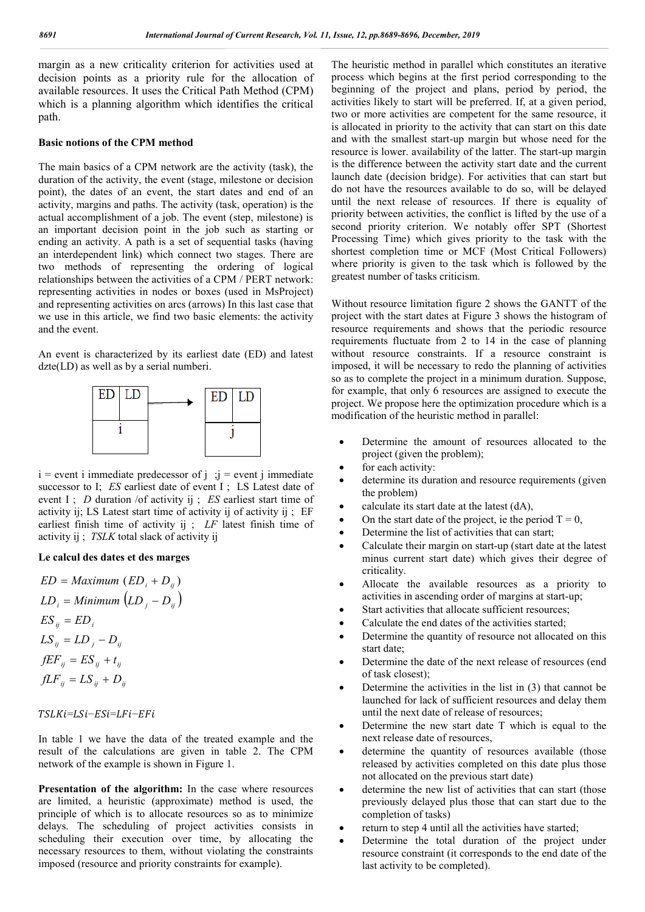margin as a new criticality criterion for activities used at decision points as a priority rule for the allocation of available resources. It uses the Critical Path Method (CPM) which is a planning algorithm which identifies the critical path.

#### **Basic notions of the CPM method**

The main basics of a CPM network are the activity (task), the duration of the activity, the event (stage, milestone or decision point), the dates of an event, the start dates and end of an activity, margins and paths. The activity (task, operation) is the actual accomplishment of a job. The event (step, milestone) is an important decision point in the job such as starting or ending an activity. A path is a set of sequential tasks (having an interdependent link) which connect two stages. There are two methods of representing the ordering of logical relationships between the activities of a CPM / PERT network: representing activities in nodes or boxes (used in MsProject) and representing activities on arcs (arrows) In this last case that we use in this article, we find two basic elements: the activity and the event.

An event is characterized by its earliest date (ED) and latest dzte(LD) as well as by a serial numberi.



 $i = event i$  immediate predecessor of j  $\,$ ;  $j = event j$  immediate successor to I; *ES* earliest date of event I ; LS Latest date of event I ; *D* duration /of activity ij ; *ES* earliest start time of activity ij; LS Latest start time of activity ij of activity ij ; EF earliest finish time of activity ij ; *LF* latest finish time of activity ij ; *TSLK* total slack of activity ij

#### **Le calcul des dates et des marges**

| $ED = Maximum (ED_i + D_{ii})$   |
|----------------------------------|
| $LD_i = Minimum (LD_i - D_{ii})$ |
| $ES_{ii} = ED_{i}$               |
| $LS_{ii} = LD_i - D_{ii}$        |
| $fEF_{ii} = ES_{ii} + t_{ii}$    |
| $fLF_{ii} = LS_{ii} + D_{ii}$    |
|                                  |

TSLKi=LSi-ESi=LFi-EFi

In table 1 we have the data of the treated example and the result of the calculations are given in table 2. The CPM network of the example is shown in Figure 1.

**Presentation of the algorithm:** In the case where resources are limited, a heuristic (approximate) method is used, the principle of which is to allocate resources so as to minimize delays. The scheduling of project activities consists in scheduling their execution over time, by allocating the necessary resources to them, without violating the constraints imposed (resource and priority constraints for example).

The heuristic method in parallel which constitutes an iterative process which begins at the first period corresponding to the beginning of the project and plans, period by period, the activities likely to start will be preferred. If, at a given period, two or more activities are competent for the same resource, it is allocated in priority to the activity that can start on this date and with the smallest start-up margin but whose need for the resource is lower. availability of the latter. The start-up margin is the difference between the activity start date and the current launch date (decision bridge). For activities that can start but do not have the resources available to do so, will be delayed until the next release of resources. If there is equality of priority between activities, the conflict is lifted by the use of a second priority criterion. We notably offer SPT (Shortest Processing Time) which gives priority to the task with the shortest completion time or MCF (Most Critical Followers) where priority is given to the task which is followed by the greatest number of tasks criticism.

Without resource limitation figure 2 shows the GANTT of the project with the start dates at Figure 3 shows the histogram of resource requirements and shows that the periodic resource requirements fluctuate from 2 to 14 in the case of planning without resource constraints. If a resource constraint is imposed, it will be necessary to redo the planning of activities so as to complete the project in a minimum duration. Suppose, for example, that only 6 resources are assigned to execute the project. We propose here the optimization procedure which is a modification of the heuristic method in parallel:

- Determine the amount of resources allocated to the project (given the problem);
- for each activity:
- determine its duration and resource requirements (given the problem)
- calculate its start date at the latest (dA),
- On the start date of the project, ie the period  $T = 0$ ,
- Determine the list of activities that can start;
- Calculate their margin on start-up (start date at the latest minus current start date) which gives their degree of criticality.
- Allocate the available resources as a priority to activities in ascending order of margins at start-up;
- Start activities that allocate sufficient resources;
- Calculate the end dates of the activities started;
- Determine the quantity of resource not allocated on this start date;
- Determine the date of the next release of resources (end of task closest);
- Determine the activities in the list in (3) that cannot be launched for lack of sufficient resources and delay them until the next date of release of resources;
- Determine the new start date T which is equal to the next release date of resources,
- determine the quantity of resources available (those released by activities completed on this date plus those not allocated on the previous start date)
- determine the new list of activities that can start (those previously delayed plus those that can start due to the completion of tasks)
- return to step 4 until all the activities have started;
- Determine the total duration of the project under resource constraint (it corresponds to the end date of the last activity to be completed).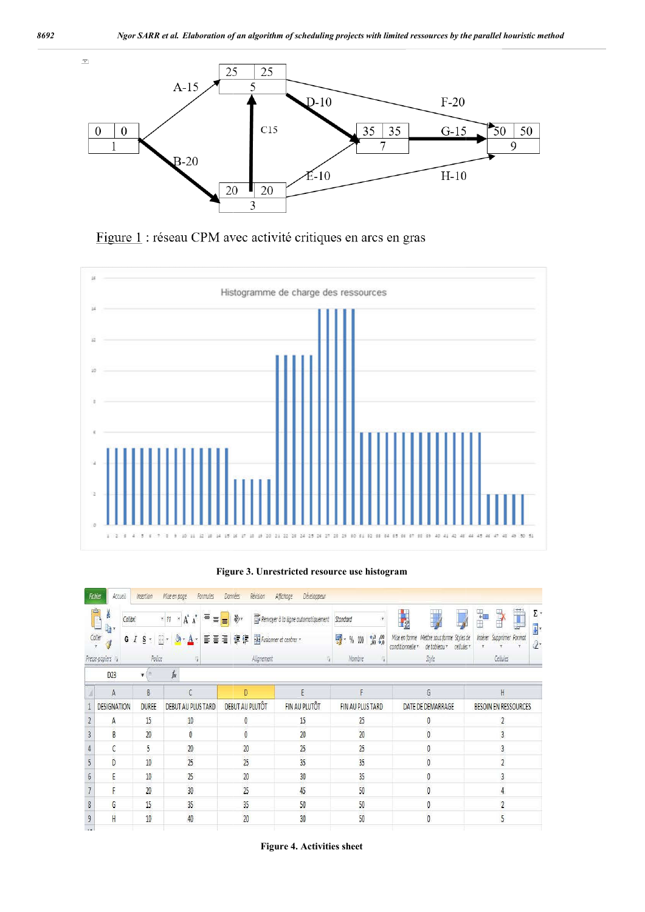

Figure 1 : réseau CPM avec activité critiques en arcs en gras



### **Figure 3. Unrestricted resource use histogram**

|   | <b>Fichier</b><br>Accueil     | Insertion        | Mise en page<br>Formules             | Révision<br>Données <sup>®</sup>      | Affichage<br>Développeur            |                                                            |                                                                                             |                                                                        |
|---|-------------------------------|------------------|--------------------------------------|---------------------------------------|-------------------------------------|------------------------------------------------------------|---------------------------------------------------------------------------------------------|------------------------------------------------------------------------|
|   | P<br>Φ<br>Calibri             |                  | Ξ<br>$\cdot$ A <sup>*</sup><br>$+11$ | $\frac{1}{2}$<br>$\equiv$<br>$\equiv$ | Renvoyer à la ligne automatiquement | Standard                                                   | - 3                                                                                         | j<br>Σ۰<br>Ŧ<br>P                                                      |
|   | h·<br>Collect<br>$G$ $I$<br>¥ | $S$ $\tau$       | $\mathbb{H}$ .<br>$A - A$            | 建模<br><b>EEE</b>                      | Fair Fusionner et centrer           | 9<br>$\frac{1}{2}$ % 000 $\frac{6}{20}$ % $\frac{100}{20}$ | Mise en forme Mettre sous forme Styles de<br>conditionnelle *<br>cellules *<br>de tableau v | $\overline{\phi}$ .<br>Insérer Supprimer Format<br>$\mathbb{Z}^*$<br>× |
|   | Presse-papiers G              | Police           | 盲                                    | Alignement                            | 隊                                   | Nombre<br>毒                                                | Style                                                                                       | Cellules                                                               |
|   | D <sub>23</sub>               | $\mathbf{v}$     | $f_x$                                |                                       |                                     |                                                            |                                                                                             |                                                                        |
|   | A                             | B                | C                                    | D                                     | F                                   | F                                                          | G                                                                                           | H                                                                      |
|   | <b>DESIGNATION</b>            | <b>DUREE</b>     | <b>DEBUT AU PLUS TARD</b>            | <b>DEBUT AU PLUTÔT</b>                | <b>FIN AU PLUTÔT</b>                | <b>FIN AU PLUS TARD</b>                                    | DATE DE DEMARRAGE<br><b>BESOIN EN RESSOURCES</b>                                            |                                                                        |
|   | А                             | 15               | $10$                                 | 0                                     | 15                                  | 25                                                         | 0                                                                                           |                                                                        |
|   | B                             | 20               |                                      | $\overline{0}$                        | 20                                  | $\overline{20}$                                            | 0                                                                                           |                                                                        |
|   |                               | 5                | 20                                   | 20                                    | 25                                  | 25                                                         | 0                                                                                           |                                                                        |
|   | D                             | 10 <sup>10</sup> | 25                                   | 25                                    | 35                                  | 35                                                         | $\mathbf{0}$                                                                                |                                                                        |
| b | F                             | 10               | 25                                   | 20                                    | 30                                  | 35                                                         | 0                                                                                           | 3                                                                      |
|   |                               | 20               | 30                                   | $\overline{25}$                       | 45                                  | 50                                                         | $\mathbf{0}$                                                                                | 4                                                                      |
|   | G                             | 15               | 35                                   | 35                                    | 50                                  | 50                                                         | $\pmb{0}$                                                                                   | $\overline{2}$                                                         |
|   | Ĥ                             | 10 <sup>°</sup>  | 40                                   | 20                                    | 30                                  | 50                                                         | $\mathbf{0}$                                                                                | 5                                                                      |
|   |                               |                  |                                      |                                       |                                     |                                                            |                                                                                             |                                                                        |

**Figure 4. Activities sheet**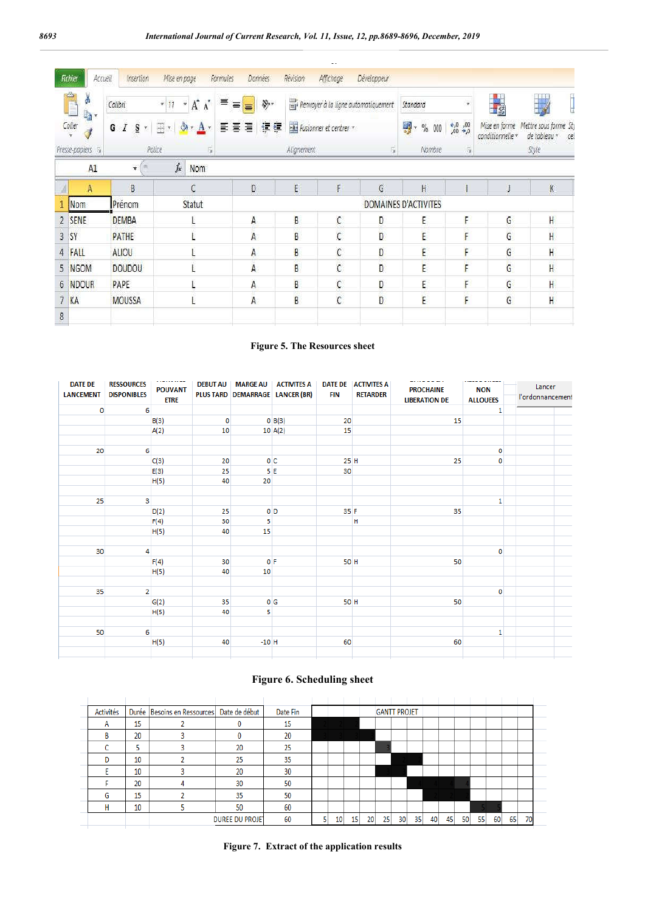|                 | Fichier<br>Accueil | Insertion                                           | Mise en page<br>Formules                                        | <b>Données</b>                 | Révision   | Affichage                           | Développeur                   |                                |                        |                                   |                                              |
|-----------------|--------------------|-----------------------------------------------------|-----------------------------------------------------------------|--------------------------------|------------|-------------------------------------|-------------------------------|--------------------------------|------------------------|-----------------------------------|----------------------------------------------|
|                 | Ê<br>ŵ             | Calibri                                             | ≣<br>$\mathcal{G}$<br>$A^{\uparrow}$<br>11<br>$\mathbf{v}$<br>A | $\frac{1}{2}$<br>言<br>$\equiv$ |            | Renvoyer à la ligne automatiquement |                               | Standard                       |                        | <b>The Second</b>                 | $\mathbb{I}$                                 |
|                 | h,<br>Coller<br>v  | $\cal I$<br>G<br>$\underline{s}$<br>$\mathcal{F}_1$ | 眼<br>F<br>$\mathbf{A}$<br>$\Diamond$<br>×.<br><b>W</b><br>÷     | 使病<br>言<br>鼍                   |            | Fusionner et centrer                |                               | q<br>$\frac{9}{6}$<br>000<br>v | 0,0,0,0,0              | Mise en forme<br>conditionnelle * | Mettre sous forme Sty<br>de tableau *<br>cel |
|                 | Presse-papiers is  | Police                                              | 覧                                                               |                                | Alignement |                                     | $\overrightarrow{\mathbf{5}}$ | Nombre                         | $\tilde{\mathbb{F}}_2$ |                                   | Style                                        |
|                 | A1                 | $\overline{\mathbf{v}}$                             | $f_{\rm x}$<br>Nom                                              |                                |            |                                     |                               |                                |                        |                                   |                                              |
|                 | A                  | B                                                   | Ć                                                               | D                              | E          | F                                   | G                             | H                              |                        |                                   | $\mathsf K$                                  |
|                 | Nom                | Prénom                                              | Statut                                                          |                                |            |                                     |                               | DOMAINES D'ACTIVITES           |                        |                                   |                                              |
|                 | 2 SENE             | <b>DEMBA</b>                                        |                                                                 | A                              | B          | C                                   | D                             | E                              | F                      | G                                 | H                                            |
|                 | 3 SY               | <b>PATHE</b>                                        |                                                                 | $\overline{A}$                 | B          | $\mathsf{C}$                        | D                             | E                              | F                      | G                                 | H                                            |
|                 | 4 FALL             | ALIOU                                               |                                                                 | A                              | B          | C                                   | D                             | E                              | F                      | G                                 | H                                            |
|                 | 5 NGOM             | <b>DOUDOU</b>                                       |                                                                 | $\overline{A}$                 | B          | $\mathsf{C}$                        | D                             | E                              | F                      | G                                 | H                                            |
|                 | 6 NDOUR            | PAPE                                                |                                                                 | A                              | B          | C.                                  | D                             | E                              | F                      | G                                 | H                                            |
| $7\overline{ }$ | KA                 | <b>MOUSSA</b>                                       |                                                                 | A                              | B          | $\mathsf{C}$                        | D                             | E                              | F                      | G                                 | H                                            |
| $\,$ 8          |                    |                                                     |                                                                 |                                |            |                                     |                               |                                |                        |                                   |                                              |

## **Figure 5. The Resources sheet**

| <b>DATE DE</b><br><b>LANCEMENT</b> | <b>RESSOURCES</b><br><b>DISPONIBLES</b> | .<br><b>POUVANT</b><br><b>ETRE</b> |         |         | <b>DEBUT AU   MARGE AU   ACTIVITES A</b><br>PLUS TARD DEMARRAGE LANCER (BR) | <b>FIN</b> | <b>DATE DE ACTIVITES A</b><br><b>RETARDER</b> | --------<br><b>PROCHAINE</b><br><b>LIBERATION DE</b> | <b>NON</b><br><b>ALLOUEES</b> | Lancer<br>l'ordonnancement |
|------------------------------------|-----------------------------------------|------------------------------------|---------|---------|-----------------------------------------------------------------------------|------------|-----------------------------------------------|------------------------------------------------------|-------------------------------|----------------------------|
| O                                  | 6                                       |                                    |         |         |                                                                             |            |                                               |                                                      | $\mathbf{1}$                  |                            |
|                                    |                                         | B(3)                               | $\circ$ |         | $O$ B(3)                                                                    | 20         |                                               | 15                                                   |                               |                            |
|                                    |                                         | A(2)                               | 10      |         | 10  A(2)                                                                    | 15         |                                               |                                                      |                               |                            |
| 20                                 | 6                                       |                                    |         |         |                                                                             |            |                                               |                                                      | 0                             |                            |
|                                    |                                         | C(3)                               | 20      |         | 0 <sup>2</sup>                                                              | 25 H       |                                               | 25                                                   | $\circ$                       |                            |
|                                    |                                         | E(3)                               | 25      |         | 5E                                                                          | 30         |                                               |                                                      |                               |                            |
|                                    |                                         | H(5)                               | 40      | 20      |                                                                             |            |                                               |                                                      |                               |                            |
| 25                                 | $\mathbf{3}$                            |                                    |         |         |                                                                             |            |                                               |                                                      | $\mathbf{1}$                  |                            |
|                                    |                                         | D(2)                               | 25      |         | 0 <sub>D</sub>                                                              | 35 F       |                                               | 35                                                   |                               |                            |
|                                    |                                         | F(4)                               | 30      | 5       |                                                                             |            | Н                                             |                                                      |                               |                            |
|                                    |                                         | H(5)                               | 40      | 15      |                                                                             |            |                                               |                                                      |                               |                            |
| 30                                 | $\overline{4}$                          |                                    |         |         |                                                                             |            |                                               |                                                      | $\mathbf 0$                   |                            |
|                                    |                                         | F(4)                               | 30      | 0F      |                                                                             | 50 H       |                                               | 50                                                   |                               |                            |
|                                    |                                         | H(5)                               | 40      | 10      |                                                                             |            |                                               |                                                      |                               |                            |
| 35                                 | $\overline{2}$                          |                                    |         |         |                                                                             |            |                                               |                                                      | O                             |                            |
|                                    |                                         | G(2)                               | 35      |         | 0 <sub>G</sub>                                                              | 50 H       |                                               | 50                                                   |                               |                            |
|                                    |                                         | H(5)                               | 40      | 5       |                                                                             |            |                                               |                                                      |                               |                            |
| 50                                 | 6                                       |                                    |         |         |                                                                             |            |                                               |                                                      | $\mathbf{1}$                  |                            |
|                                    |                                         | H(5)                               | 40      | $-10$ H |                                                                             | 60         |                                               | 60                                                   |                               |                            |
|                                    |                                         |                                    |         |         |                                                                             |            |                                               |                                                      |                               |                            |

# **Figure 6. Scheduling sheet**

| Activités |    | Durée Besoins en Ressources | Date de début          | Date Fin |    |    |    | <b>GANTT PROJET</b> |    |    |    |    |    |    |    |    |    |
|-----------|----|-----------------------------|------------------------|----------|----|----|----|---------------------|----|----|----|----|----|----|----|----|----|
| A         | 15 |                             |                        | 15       |    |    |    |                     |    |    |    |    |    |    |    |    |    |
| B         | 20 |                             |                        | 20       |    |    |    |                     |    |    |    |    |    |    |    |    |    |
| ∼<br>u    | 5  |                             | 20                     | 25       |    |    |    |                     |    |    |    |    |    |    |    |    |    |
| D         | 10 |                             | 25                     | 35       |    |    |    |                     |    |    |    |    |    |    |    |    |    |
|           | 10 |                             | 20                     | 30       |    |    |    |                     |    |    |    |    |    |    |    |    |    |
|           | 20 | 4                           | 30                     | 50       |    |    |    |                     |    |    |    |    |    |    |    |    |    |
| G         | 15 |                             | 35                     | 50       |    |    |    |                     |    |    |    |    |    |    |    |    |    |
| н         | 10 |                             | 50                     | 60       |    |    |    |                     |    |    |    |    |    |    |    |    |    |
|           |    |                             | <b>DUREE DU PROJET</b> | 60       | 10 | 15 | 20 | 25                  | 30 | 35 | 40 | 45 | 50 | 55 | 60 | 65 | 70 |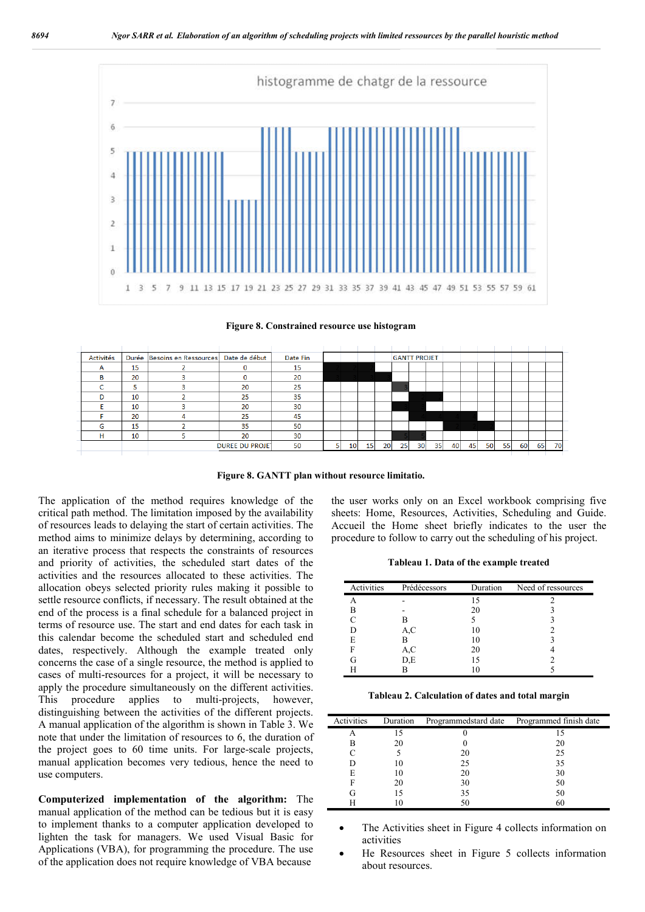

**Figure 8. Constrained resource use histogram**

| Activités | Durée | Besoins en Ressources | Date de début          | Date Fin |                 |                 |           |    | <b>GANTT PROJET</b> |                 |    |    |    |    |    |    |    |
|-----------|-------|-----------------------|------------------------|----------|-----------------|-----------------|-----------|----|---------------------|-----------------|----|----|----|----|----|----|----|
| A         | 15    |                       |                        | 15       |                 |                 |           |    |                     |                 |    |    |    |    |    |    |    |
| R         | 20    |                       |                        | 20       |                 |                 |           |    |                     |                 |    |    |    |    |    |    |    |
|           | 5     |                       | 20                     | 25       |                 |                 |           |    |                     |                 |    |    |    |    |    |    |    |
| D         | 10    |                       | 25                     | 35       |                 |                 |           |    |                     |                 |    |    |    |    |    |    |    |
|           | 10    |                       | 20                     | 30       |                 |                 |           |    |                     |                 |    |    |    |    |    |    |    |
|           | 20    |                       | 25                     | 45       |                 |                 |           |    |                     |                 |    |    |    |    |    |    |    |
| G         | 15    |                       | 35                     | 50       |                 |                 |           |    |                     |                 |    |    |    |    |    |    |    |
| н         | 10    |                       | 20                     | 30       |                 |                 |           |    |                     |                 |    |    |    |    |    |    |    |
|           |       |                       | <b>DUREE DU PROJET</b> | 50       | 10 <sup>1</sup> | 15 <sup>1</sup> | <b>20</b> | 25 | 30                  | 35 <sup>1</sup> | 40 | 45 | 50 | 55 | 60 | 65 | 70 |

**Figure 8. GANTT plan without resource limitatio.**

The application of the method requires knowledge of the critical path method. The limitation imposed by the availability of resources leads to delaying the start of certain activities. The method aims to minimize delays by determining, according to an iterative process that respects the constraints of resources and priority of activities, the scheduled start dates of the activities and the resources allocated to these activities. The allocation obeys selected priority rules making it possible to settle resource conflicts, if necessary. The result obtained at the end of the process is a final schedule for a balanced project in terms of resource use. The start and end dates for each task in this calendar become the scheduled start and scheduled end dates, respectively. Although the example treated only concerns the case of a single resource, the method is applied to cases of multi-resources for a project, it will be necessary to apply the procedure simultaneously on the different activities. This procedure applies to multi-projects, however, distinguishing between the activities of the different projects. A manual application of the algorithm is shown in Table 3. We note that under the limitation of resources to 6, the duration of the project goes to 60 time units. For large-scale projects, manual application becomes very tedious, hence the need to use computers.

**Computerized implementation of the algorithm:** The manual application of the method can be tedious but it is easy to implement thanks to a computer application developed to lighten the task for managers. We used Visual Basic for Applications (VBA), for programming the procedure. The use of the application does not require knowledge of VBA because

the user works only on an Excel workbook comprising five sheets: Home, Resources, Activities, Scheduling and Guide. Accueil the Home sheet briefly indicates to the user the procedure to follow to carry out the scheduling of his project.

**Tableau 1. Data of the example treated**

| Activities | Prédécessors | Duration | Need of ressources |
|------------|--------------|----------|--------------------|
| А          |              | 15       |                    |
|            |              | 20       |                    |
|            | R            |          |                    |
|            | A, C         | 10       |                    |
| E          |              | 10       |                    |
| F          | A,C          | 20       |                    |
| G          | D,E          |          |                    |
|            |              |          |                    |

**Tableau 2. Calculation of dates and total margin**

| Activities | Duration |    | Programmedstard date Programmed finish date |
|------------|----------|----|---------------------------------------------|
| А          | 15       |    | ۱۲,                                         |
| B          | 20       |    | 20                                          |
|            |          | 20 | 25                                          |
|            |          | 25 | 35                                          |
| E          |          | 20 | 30                                          |
| F          | 20       | 30 | 50                                          |
| G          |          | 35 | 50                                          |
|            |          | 50 |                                             |

- The Activities sheet in Figure 4 collects information on activities
- He Resources sheet in Figure 5 collects information about resources.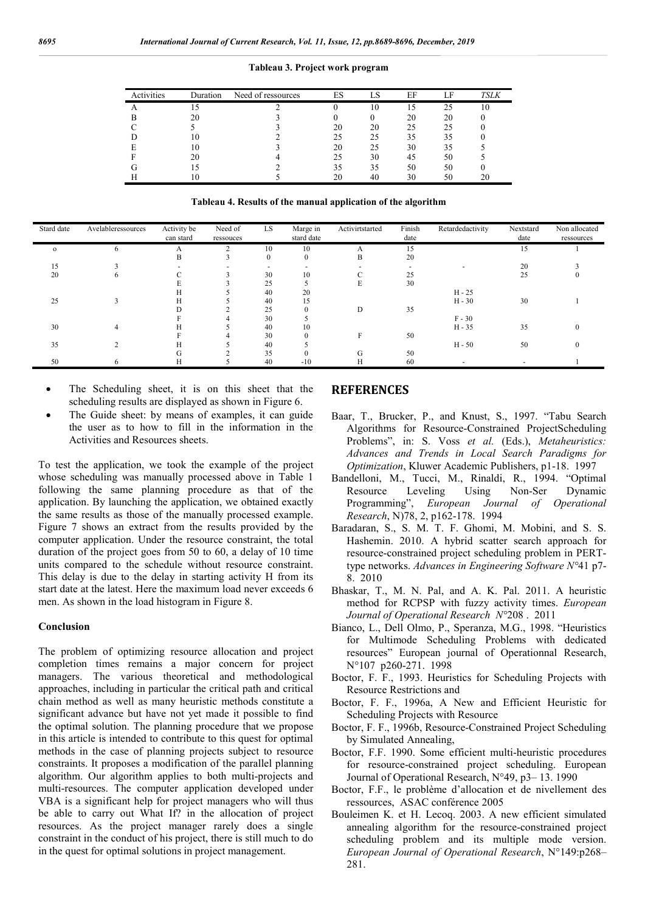| Activities | Duration | Need of ressources | ES | LS | EF | ΙF<br>ப | <b>TSLK</b> |
|------------|----------|--------------------|----|----|----|---------|-------------|
|            |          |                    |    | 10 |    | 25      |             |
|            | 20       |                    |    | 0  | 20 | 20      |             |
|            |          |                    | 20 | 20 | 25 | 25      |             |
|            |          |                    | 25 | 25 | 35 | 35      |             |
|            |          |                    | 20 | 25 | 30 | 35      |             |
|            | 20       |                    | 25 | 30 | 45 | 50      |             |
|            |          |                    | 35 | 35 | 50 | 50      |             |
|            |          |                    |    | 40 | 30 | 50      |             |

**Tableau 3. Project work program**

**Tableau 4. Results of the manual application of the algorithm**

| Stard date | Avelableressources | Activity be<br>can stard | Need of<br>ressouces | LS                       | Marge in<br>stard date | Activirtstarted | Finish<br>date | Retardedactivity | Nextstard<br>date | Non allocated<br>ressources |
|------------|--------------------|--------------------------|----------------------|--------------------------|------------------------|-----------------|----------------|------------------|-------------------|-----------------------------|
| $\circ$    | 6                  | А                        | ◠                    | 10                       | 10                     |                 | 15             |                  | 15                |                             |
|            |                    | B                        |                      | $\mathbf{0}$             | $\mathbf{0}$           | B               | 20             |                  |                   |                             |
| 15         |                    |                          |                      | $\overline{\phantom{a}}$ |                        |                 |                |                  | 20                |                             |
| 20         | n                  |                          |                      | 30                       | 10                     |                 | 25             |                  | 25                |                             |
|            |                    |                          |                      | 25                       |                        | E               | 30             |                  |                   |                             |
|            |                    |                          |                      | 40                       | 20                     |                 |                | $H - 25$         |                   |                             |
| 25         |                    | Н                        |                      | 40                       | 15                     |                 |                | $H - 30$         | 30                |                             |
|            |                    |                          |                      | 25                       | $\Omega$               | D               | 35             |                  |                   |                             |
|            |                    |                          |                      | 30                       |                        |                 |                | $F - 30$         |                   |                             |
| 30         |                    |                          |                      | 40                       | 10                     |                 |                | $H - 35$         | 35                |                             |
|            |                    |                          |                      | 30                       |                        |                 | 50             |                  |                   |                             |
| 35         |                    | н                        |                      | 40                       |                        |                 |                | $H - 50$         | 50                |                             |
|            |                    |                          |                      | 35                       |                        | ί÷              | 50             |                  |                   |                             |
| 50         | h                  | Н                        |                      | 40                       | $-10$                  |                 | 60             |                  |                   |                             |

- The Scheduling sheet, it is on this sheet that the scheduling results are displayed as shown in Figure 6.
- The Guide sheet: by means of examples, it can guide the user as to how to fill in the information in the Activities and Resources sheets.

To test the application, we took the example of the project whose scheduling was manually processed above in Table 1 following the same planning procedure as that of the application. By launching the application, we obtained exactly the same results as those of the manually processed example. Figure 7 shows an extract from the results provided by the computer application. Under the resource constraint, the total duration of the project goes from 50 to 60, a delay of 10 time units compared to the schedule without resource constraint. This delay is due to the delay in starting activity H from its start date at the latest. Here the maximum load never exceeds 6 men. As shown in the load histogram in Figure 8.

#### **Conclusion**

The problem of optimizing resource allocation and project completion times remains a major concern for project managers. The various theoretical and methodological approaches, including in particular the critical path and critical chain method as well as many heuristic methods constitute a significant advance but have not yet made it possible to find the optimal solution. The planning procedure that we propose in this article is intended to contribute to this quest for optimal methods in the case of planning projects subject to resource constraints. It proposes a modification of the parallel planning algorithm. Our algorithm applies to both multi-projects and multi-resources. The computer application developed under VBA is a significant help for project managers who will thus be able to carry out What If? in the allocation of project resources. As the project manager rarely does a single constraint in the conduct of his project, there is still much to do in the quest for optimal solutions in project management.

# **REFERENCES**

- Baar, T., Brucker, P., and Knust, S., 1997. "Tabu Search Algorithms for Resource-Constrained ProjectScheduling Problems", in: S. Voss *et al.* (Eds.), *Metaheuristics: Advances and Trends in Local Search Paradigms for Optimization*, Kluwer Academic Publishers, p1-18. 1997
- Bandelloni, M., Tucci, M., Rinaldi, R., 1994. "Optimal Resource Leveling Using Non-Ser Dynamic Programming", *European Journal of Operational Research*, N)78, 2, p162-178. 1994
- Baradaran, S., S. M. T. F. Ghomi, M. Mobini, and S. S. Hashemin. 2010. A hybrid scatter search approach for resource-constrained project scheduling problem in PERTtype networks. *Advances in Engineering Software N°*41 p7- 8. 2010
- Bhaskar, T., M. N. Pal, and A. K. Pal. 2011. A heuristic method for RCPSP with fuzzy activity times. *European Journal of Operational Research N°*208 . 2011
- Bianco, L., Dell Olmo, P., Speranza, M.G., 1998. "Heuristics for Multimode Scheduling Problems with dedicated resources" European journal of Operationnal Research, N°107 p260-271. 1998
- Boctor, F. F., 1993. Heuristics for Scheduling Projects with Resource Restrictions and
- Boctor, F. F., 1996a, A New and Efficient Heuristic for Scheduling Projects with Resource
- Boctor, F. F., 1996b, Resource-Constrained Project Scheduling by Simulated Annealing,
- Boctor, F.F. 1990. Some efficient multi-heuristic procedures for resource-constrained project scheduling. European Journal of Operational Research, N°49, p3– 13. 1990
- Boctor, F.F., le problème d'allocation et de nivellement des ressources, ASAC conférence 2005
- Bouleimen K. et H. Lecoq. 2003. A new efficient simulated annealing algorithm for the resource-constrained project scheduling problem and its multiple mode version. *European Journal of Operational Research*, N°149:p268– 281.